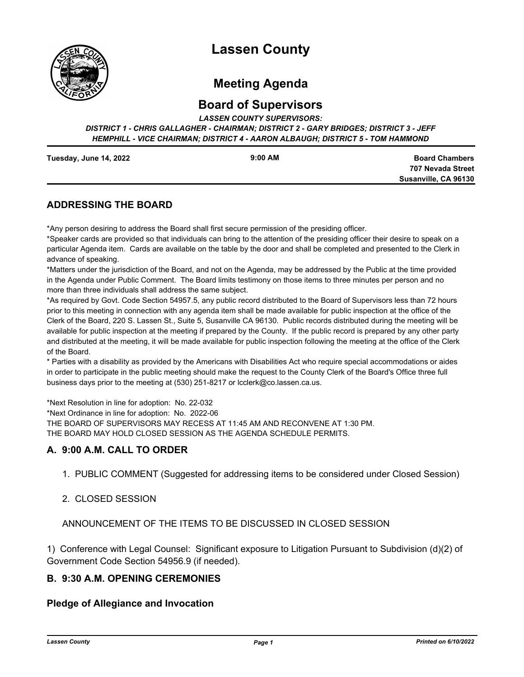

# **Lassen County**

# **Meeting Agenda**

# **Board of Supervisors**

*LASSEN COUNTY SUPERVISORS:* 

*DISTRICT 1 - CHRIS GALLAGHER - CHAIRMAN; DISTRICT 2 - GARY BRIDGES; DISTRICT 3 - JEFF HEMPHILL - VICE CHAIRMAN; DISTRICT 4 - AARON ALBAUGH; DISTRICT 5 - TOM HAMMOND*

| Tuesday, June 14, 2022 | $9:00$ AM |
|------------------------|-----------|
|                        |           |

**Board Chambers 707 Nevada Street Susanville, CA 96130**

## **ADDRESSING THE BOARD**

\*Any person desiring to address the Board shall first secure permission of the presiding officer.

\*Speaker cards are provided so that individuals can bring to the attention of the presiding officer their desire to speak on a particular Agenda item. Cards are available on the table by the door and shall be completed and presented to the Clerk in advance of speaking.

\*Matters under the jurisdiction of the Board, and not on the Agenda, may be addressed by the Public at the time provided in the Agenda under Public Comment. The Board limits testimony on those items to three minutes per person and no more than three individuals shall address the same subject.

\*As required by Govt. Code Section 54957.5, any public record distributed to the Board of Supervisors less than 72 hours prior to this meeting in connection with any agenda item shall be made available for public inspection at the office of the Clerk of the Board, 220 S. Lassen St., Suite 5, Susanville CA 96130. Public records distributed during the meeting will be available for public inspection at the meeting if prepared by the County. If the public record is prepared by any other party and distributed at the meeting, it will be made available for public inspection following the meeting at the office of the Clerk of the Board.

\* Parties with a disability as provided by the Americans with Disabilities Act who require special accommodations or aides in order to participate in the public meeting should make the request to the County Clerk of the Board's Office three full business days prior to the meeting at (530) 251-8217 or lcclerk@co.lassen.ca.us.

\*Next Resolution in line for adoption: No. 22-032

\*Next Ordinance in line for adoption: No. 2022-06

THE BOARD OF SUPERVISORS MAY RECESS AT 11:45 AM AND RECONVENE AT 1:30 PM. THE BOARD MAY HOLD CLOSED SESSION AS THE AGENDA SCHEDULE PERMITS.

## **A. 9:00 A.M. CALL TO ORDER**

1. PUBLIC COMMENT (Suggested for addressing items to be considered under Closed Session)

## 2. CLOSED SESSION

ANNOUNCEMENT OF THE ITEMS TO BE DISCUSSED IN CLOSED SESSION

1) Conference with Legal Counsel: Significant exposure to Litigation Pursuant to Subdivision (d)(2) of Government Code Section 54956.9 (if needed).

## **B. 9:30 A.M. OPENING CEREMONIES**

## **Pledge of Allegiance and Invocation**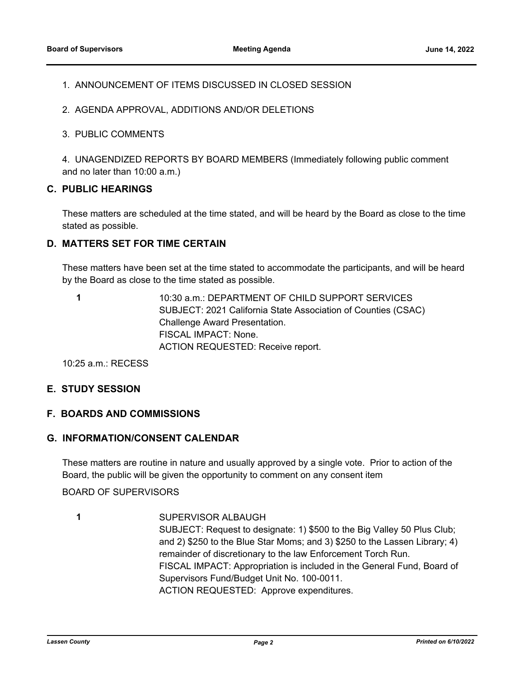#### 1. ANNOUNCEMENT OF ITEMS DISCUSSED IN CLOSED SESSION

- 2. AGENDA APPROVAL, ADDITIONS AND/OR DELETIONS
- 3. PUBLIC COMMENTS

4. UNAGENDIZED REPORTS BY BOARD MEMBERS (Immediately following public comment and no later than 10:00 a.m.)

## **C. PUBLIC HEARINGS**

These matters are scheduled at the time stated, and will be heard by the Board as close to the time stated as possible.

#### **D. MATTERS SET FOR TIME CERTAIN**

These matters have been set at the time stated to accommodate the participants, and will be heard by the Board as close to the time stated as possible.

**1**

10:30 a.m.: DEPARTMENT OF CHILD SUPPORT SERVICES SUBJECT: 2021 California State Association of Counties (CSAC) Challenge Award Presentation. FISCAL IMPACT: None. ACTION REQUESTED: Receive report.

10:25 a.m.: RECESS

#### **E. STUDY SESSION**

#### **F. BOARDS AND COMMISSIONS**

#### **G. INFORMATION/CONSENT CALENDAR**

These matters are routine in nature and usually approved by a single vote. Prior to action of the Board, the public will be given the opportunity to comment on any consent item

BOARD OF SUPERVISORS

SUPERVISOR ALBAUGH

SUBJECT: Request to designate: 1) \$500 to the Big Valley 50 Plus Club; and 2) \$250 to the Blue Star Moms; and 3) \$250 to the Lassen Library; 4) remainder of discretionary to the law Enforcement Torch Run. FISCAL IMPACT: Appropriation is included in the General Fund, Board of Supervisors Fund/Budget Unit No. 100-0011. ACTION REQUESTED: Approve expenditures.

**<sup>1</sup>**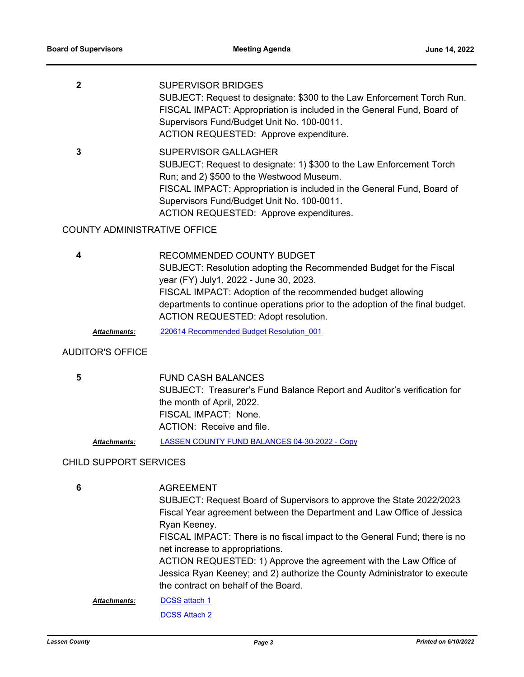| <b>SUPERVISOR BRIDGES</b><br>SUBJECT: Request to designate: \$300 to the Law Enforcement Torch Run.<br>FISCAL IMPACT: Appropriation is included in the General Fund, Board of<br>Supervisors Fund/Budget Unit No. 100-0011.<br>ACTION REQUESTED: Approve expenditure.                                        |
|--------------------------------------------------------------------------------------------------------------------------------------------------------------------------------------------------------------------------------------------------------------------------------------------------------------|
| SUPERVISOR GALLAGHER<br>SUBJECT: Request to designate: 1) \$300 to the Law Enforcement Torch<br>Run; and 2) \$500 to the Westwood Museum.<br>FISCAL IMPACT: Appropriation is included in the General Fund, Board of<br>Supervisors Fund/Budget Unit No. 100-0011.<br>ACTION REQUESTED: Approve expenditures. |

## COUNTY ADMINISTRATIVE OFFICE

**4**

RECOMMENDED COUNTY BUDGET SUBJECT: Resolution adopting the Recommended Budget for the Fiscal year (FY) July1, 2022 - June 30, 2023. FISCAL IMPACT: Adoption of the recommended budget allowing departments to continue operations prior to the adoption of the final budget. ACTION REQUESTED: Adopt resolution.

*Attachments:* [220614 Recommended Budget Resolution\\_001](http://lassen.legistar.com/gateway.aspx?M=F&ID=167be140-4311-473a-ad94-7bc1b15c8166.pdf)

#### AUDITOR'S OFFICE

**5**

FUND CASH BALANCES SUBJECT: Treasurer's Fund Balance Report and Auditor's verification for the month of April, 2022. FISCAL IMPACT: None. ACTION: Receive and file.

*Attachments:* [LASSEN COUNTY FUND BALANCES 04-30-2022 - Copy](http://lassen.legistar.com/gateway.aspx?M=F&ID=6780e3af-f29f-4ed5-be7d-069fcbe3e497.pdf)

#### CHILD SUPPORT SERVICES

**6**

AGREEMENT

SUBJECT: Request Board of Supervisors to approve the State 2022/2023 Fiscal Year agreement between the Department and Law Office of Jessica Ryan Keeney.

FISCAL IMPACT: There is no fiscal impact to the General Fund; there is no net increase to appropriations.

ACTION REQUESTED: 1) Approve the agreement with the Law Office of Jessica Ryan Keeney; and 2) authorize the County Administrator to execute the contract on behalf of the Board.

[DCSS attach 1](http://lassen.legistar.com/gateway.aspx?M=F&ID=cbfcacf8-3471-4010-852b-08a2d22a0437.pdf) *Attachments:*

[DCSS Attach 2](http://lassen.legistar.com/gateway.aspx?M=F&ID=675c10dd-ff70-478c-bc21-c54764a859de.pdf)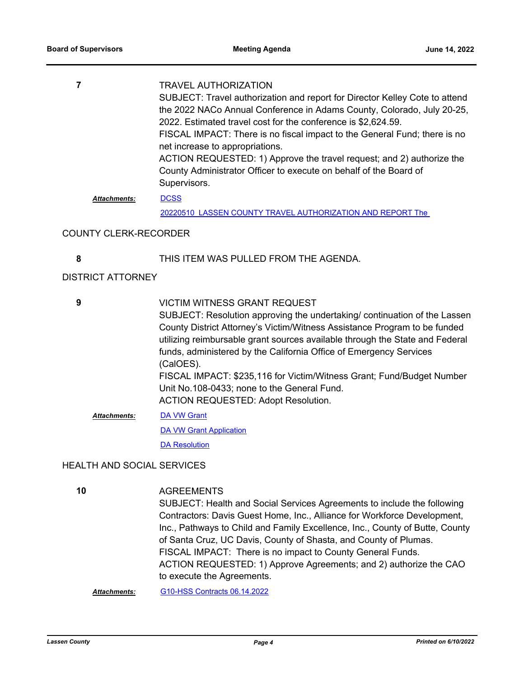|                     | <b>TRAVEL AUTHORIZATION</b>                                                 |
|---------------------|-----------------------------------------------------------------------------|
|                     | SUBJECT: Travel authorization and report for Director Kelley Cote to attend |
|                     | the 2022 NACo Annual Conference in Adams County, Colorado, July 20-25,      |
|                     | 2022. Estimated travel cost for the conference is \$2,624.59.               |
|                     | FISCAL IMPACT: There is no fiscal impact to the General Fund; there is no   |
|                     | net increase to appropriations.                                             |
|                     | ACTION REQUESTED: 1) Approve the travel request; and 2) authorize the       |
|                     | County Administrator Officer to execute on behalf of the Board of           |
|                     | Supervisors.                                                                |
| <b>Attachments:</b> | <b>DCSS</b>                                                                 |

20220510\_LASSEN COUNTY TRAVEL AUTHORIZATION AND REPORT The

### COUNTY CLERK-RECORDER

#### **8** THIS ITEM WAS PULLED FROM THE AGENDA.

### DISTRICT ATTORNEY

| 9                   | <b>VICTIM WITNESS GRANT REQUEST</b>                                          |
|---------------------|------------------------------------------------------------------------------|
|                     | SUBJECT: Resolution approving the undertaking/ continuation of the Lassen    |
|                     | County District Attorney's Victim/Witness Assistance Program to be funded    |
|                     | utilizing reimbursable grant sources available through the State and Federal |
|                     | funds, administered by the California Office of Emergency Services           |
|                     | (CalOES).                                                                    |
|                     | FISCAL IMPACT: \$235,116 for Victim/Witness Grant; Fund/Budget Number        |
|                     | Unit No.108-0433; none to the General Fund.                                  |
|                     | <b>ACTION REQUESTED: Adopt Resolution.</b>                                   |
| <b>Attachments:</b> | <b>DA VW Grant</b>                                                           |
|                     | DA VAN Grant Annlication                                                     |

[DA VW Grant Application](http://lassen.legistar.com/gateway.aspx?M=F&ID=05682a99-9e71-4ff1-ad98-dffe13982021.pdf) **[DA Resolution](http://lassen.legistar.com/gateway.aspx?M=F&ID=a7dcd474-35e8-4d1a-8617-786bbd55bb75.pdf)** 

#### HEALTH AND SOCIAL SERVICES

**AGREEMENTS** SUBJECT: Health and Social Services Agreements to include the following Contractors: Davis Guest Home, Inc., Alliance for Workforce Development, Inc., Pathways to Child and Family Excellence, Inc., County of Butte, County of Santa Cruz, UC Davis, County of Shasta, and County of Plumas. FISCAL IMPACT: There is no impact to County General Funds. ACTION REQUESTED: 1) Approve Agreements; and 2) authorize the CAO to execute the Agreements.

*Attachments:* [G10-HSS Contracts 06.14.2022](http://lassen.legistar.com/gateway.aspx?M=F&ID=b1d7d2f8-ca98-45f7-8ad9-2819282c5b9d.pdf)

**10**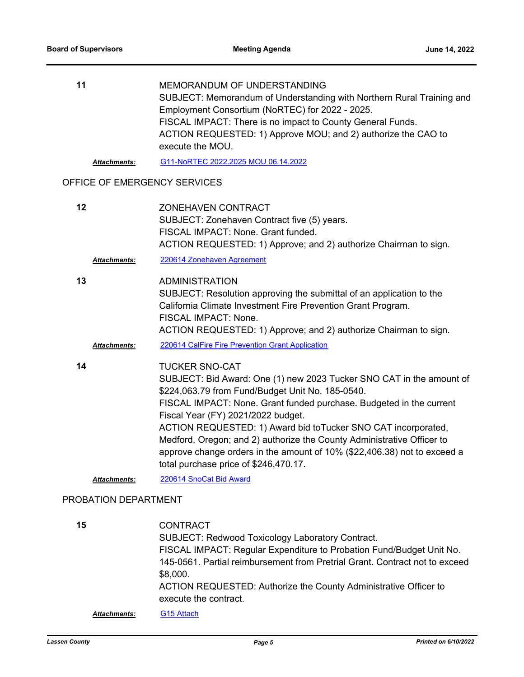| 11 | MEMORANDUM OF UNDERSTANDING                                                       |
|----|-----------------------------------------------------------------------------------|
|    | SUBJECT: Memorandum of Understanding with Northern Rural Training and             |
|    | Employment Consortium (NoRTEC) for 2022 - 2025.                                   |
|    | FISCAL IMPACT: There is no impact to County General Funds.                        |
|    | ACTION REQUESTED: 1) Approve MOU; and 2) authorize the CAO to<br>execute the MOU. |
|    |                                                                                   |

*Attachments:* [G11-NoRTEC 2022.2025 MOU 06.14.2022](http://lassen.legistar.com/gateway.aspx?M=F&ID=5010343b-3ec6-401a-a9ca-f202994a8a94.pdf)

## OFFICE OF EMERGENCY SERVICES

| 12 |                     | ZONEHAVEN CONTRACT<br>SUBJECT: Zonehaven Contract five (5) years.<br>FISCAL IMPACT: None. Grant funded.<br>ACTION REQUESTED: 1) Approve; and 2) authorize Chairman to sign.                                                                                                                                                                                                                                                                                                                                                     |
|----|---------------------|---------------------------------------------------------------------------------------------------------------------------------------------------------------------------------------------------------------------------------------------------------------------------------------------------------------------------------------------------------------------------------------------------------------------------------------------------------------------------------------------------------------------------------|
|    | <b>Attachments:</b> | 220614 Zonehaven Agreement                                                                                                                                                                                                                                                                                                                                                                                                                                                                                                      |
| 13 | <b>Attachments:</b> | <b>ADMINISTRATION</b><br>SUBJECT: Resolution approving the submittal of an application to the<br>California Climate Investment Fire Prevention Grant Program.<br>FISCAL IMPACT: None.<br>ACTION REQUESTED: 1) Approve; and 2) authorize Chairman to sign.<br>220614 CalFire Fire Prevention Grant Application                                                                                                                                                                                                                   |
| 14 |                     | <b>TUCKER SNO-CAT</b><br>SUBJECT: Bid Award: One (1) new 2023 Tucker SNO CAT in the amount of<br>\$224,063.79 from Fund/Budget Unit No. 185-0540.<br>FISCAL IMPACT: None. Grant funded purchase. Budgeted in the current<br>Fiscal Year (FY) 2021/2022 budget.<br>ACTION REQUESTED: 1) Award bid to Tucker SNO CAT incorporated,<br>Medford, Oregon; and 2) authorize the County Administrative Officer to<br>approve change orders in the amount of 10% (\$22,406.38) not to exceed a<br>total purchase price of \$246,470.17. |
|    | <b>Attachments:</b> | 220614 SnoCat Bid Award                                                                                                                                                                                                                                                                                                                                                                                                                                                                                                         |

## PROBATION DEPARTMENT

| 15                  | <b>CONTRACT</b>                                                             |
|---------------------|-----------------------------------------------------------------------------|
|                     | <b>SUBJECT: Redwood Toxicology Laboratory Contract.</b>                     |
|                     | FISCAL IMPACT: Regular Expenditure to Probation Fund/Budget Unit No.        |
|                     | 145-0561. Partial reimbursement from Pretrial Grant. Contract not to exceed |
|                     | \$8,000.                                                                    |
|                     | ACTION REQUESTED: Authorize the County Administrative Officer to            |
|                     | execute the contract.                                                       |
| <b>Attachments:</b> | G <sub>15</sub> Attach                                                      |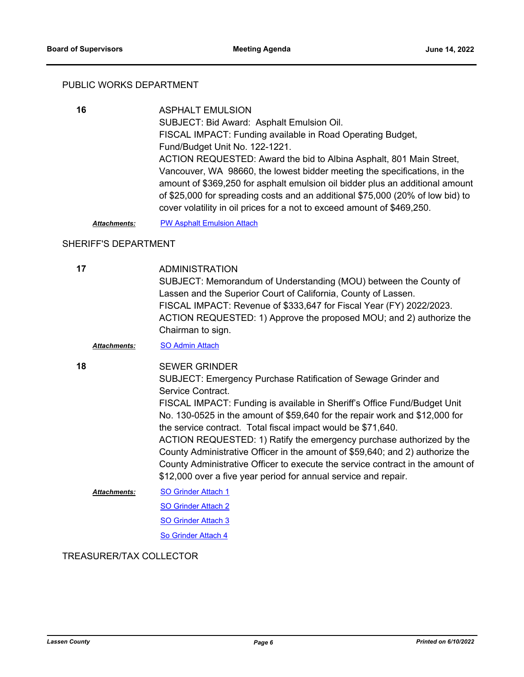#### PUBLIC WORKS DEPARTMENT

ASPHALT EMULSION SUBJECT: Bid Award: Asphalt Emulsion Oil. FISCAL IMPACT: Funding available in Road Operating Budget, Fund/Budget Unit No. 122-1221. ACTION REQUESTED: Award the bid to Albina Asphalt, 801 Main Street, Vancouver, WA 98660, the lowest bidder meeting the specifications, in the amount of \$369,250 for asphalt emulsion oil bidder plus an additional amount of \$25,000 for spreading costs and an additional \$75,000 (20% of low bid) to cover volatility in oil prices for a not to exceed amount of \$469,250. **16**

*Attachments:* [PW Asphalt Emulsion Attach](http://lassen.legistar.com/gateway.aspx?M=F&ID=c573a48b-f54a-4320-a4b2-54d330163ee6.pdf)

#### SHERIFF'S DEPARTMENT

**17**

ADMINISTRATION SUBJECT: Memorandum of Understanding (MOU) between the County of Lassen and the Superior Court of California, County of Lassen. FISCAL IMPACT: Revenue of \$333,647 for Fiscal Year (FY) 2022/2023. ACTION REQUESTED: 1) Approve the proposed MOU; and 2) authorize the Chairman to sign.

*Attachments:* [SO Admin Attach](http://lassen.legistar.com/gateway.aspx?M=F&ID=74a817f0-916f-4c25-8ee0-ef7e53b65c1a.pdf)

SEWER GRINDER **18**

> SUBJECT: Emergency Purchase Ratification of Sewage Grinder and Service Contract. FISCAL IMPACT: Funding is available in Sheriff's Office Fund/Budget Unit No. 130-0525 in the amount of \$59,640 for the repair work and \$12,000 for the service contract. Total fiscal impact would be \$71,640. ACTION REQUESTED: 1) Ratify the emergency purchase authorized by the County Administrative Officer in the amount of \$59,640; and 2) authorize the County Administrative Officer to execute the service contract in the amount of

> > \$12,000 over a five year period for annual service and repair.

[SO Grinder Attach 1](http://lassen.legistar.com/gateway.aspx?M=F&ID=746c4c0b-bb7a-4f7c-8335-433ee65e1a85.pdf) *Attachments:*

[SO Grinder Attach 2](http://lassen.legistar.com/gateway.aspx?M=F&ID=328c7ca2-e6f6-43dc-bb02-c604675f2ec4.pdf)

[SO Grinder Attach 3](http://lassen.legistar.com/gateway.aspx?M=F&ID=f7711eb0-3d56-46a9-930c-85fa34963675.pdf)

[So Grinder Attach 4](http://lassen.legistar.com/gateway.aspx?M=F&ID=f16a68fa-5dd2-46c8-b65f-d440942bfd4d.pdf)

TREASURER/TAX COLLECTOR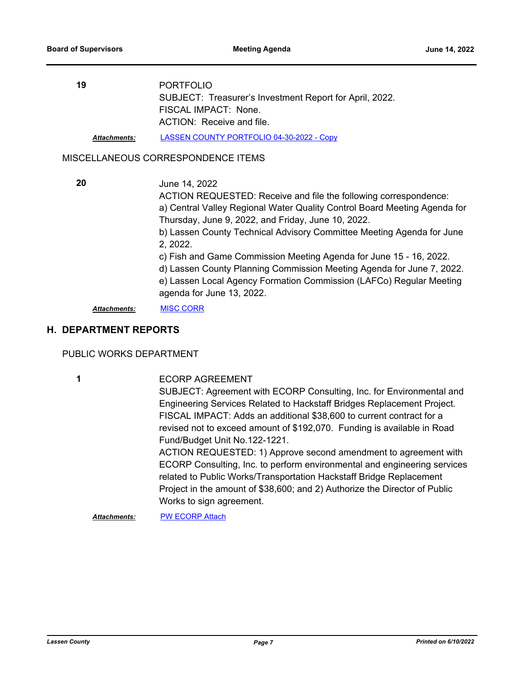| 19                  | <b>PORTFOLIO</b>                                        |
|---------------------|---------------------------------------------------------|
|                     | SUBJECT: Treasurer's Investment Report for April, 2022. |
|                     | FISCAL IMPACT: None.                                    |
|                     | ACTION: Receive and file.                               |
| <b>Attachments:</b> | LASSEN COUNTY PORTFOLIO 04-30-2022 - Copy               |

#### MISCELLANEOUS CORRESPONDENCE ITEMS

**20**

June 14, 2022

ACTION REQUESTED: Receive and file the following correspondence: a) Central Valley Regional Water Quality Control Board Meeting Agenda for Thursday, June 9, 2022, and Friday, June 10, 2022.

b) Lassen County Technical Advisory Committee Meeting Agenda for June 2, 2022.

c) Fish and Game Commission Meeting Agenda for June 15 - 16, 2022.

d) Lassen County Planning Commission Meeting Agenda for June 7, 2022.

e) Lassen Local Agency Formation Commission (LAFCo) Regular Meeting agenda for June 13, 2022.

*Attachments:* [MISC CORR](http://lassen.legistar.com/gateway.aspx?M=F&ID=1ea4d4f3-a433-49df-925b-8489c7074a7b.pdf)

#### **H. DEPARTMENT REPORTS**

PUBLIC WORKS DEPARTMENT

ECORP AGREEMENT SUBJECT: Agreement with ECORP Consulting, Inc. for Environmental and Engineering Services Related to Hackstaff Bridges Replacement Project. FISCAL IMPACT: Adds an additional \$38,600 to current contract for a revised not to exceed amount of \$192,070. Funding is available in Road Fund/Budget Unit No.122-1221. ACTION REQUESTED: 1) Approve second amendment to agreement with ECORP Consulting, Inc. to perform environmental and engineering services related to Public Works/Transportation Hackstaff Bridge Replacement Project in the amount of \$38,600; and 2) Authorize the Director of Public Works to sign agreement. **1**

*Attachments:* [PW ECORP Attach](http://lassen.legistar.com/gateway.aspx?M=F&ID=546ed814-b6a8-4cb9-bdcf-05cb5e54a1db.pdf)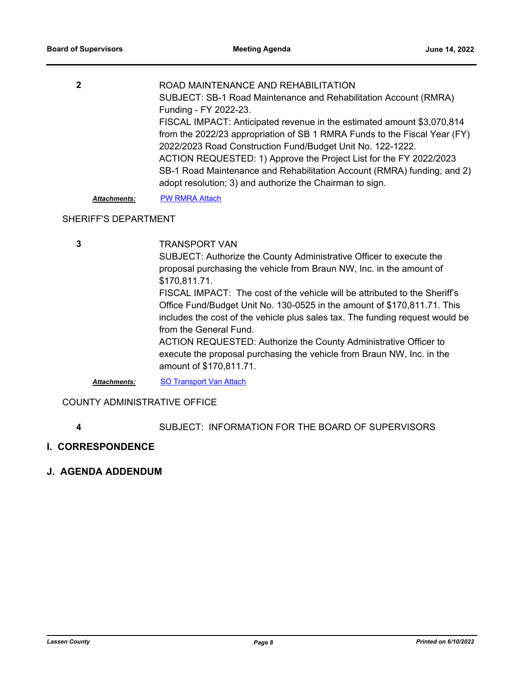| 2                   | ROAD MAINTENANCE AND REHABILITATION                                       |
|---------------------|---------------------------------------------------------------------------|
|                     | SUBJECT: SB-1 Road Maintenance and Rehabilitation Account (RMRA)          |
|                     | Funding - FY 2022-23.                                                     |
|                     | FISCAL IMPACT: Anticipated revenue in the estimated amount \$3,070,814    |
|                     | from the 2022/23 appropriation of SB 1 RMRA Funds to the Fiscal Year (FY) |
|                     | 2022/2023 Road Construction Fund/Budget Unit No. 122-1222.                |
|                     | ACTION REQUESTED: 1) Approve the Project List for the FY 2022/2023        |
|                     | SB-1 Road Maintenance and Rehabilitation Account (RMRA) funding; and 2)   |
|                     | adopt resolution; 3) and authorize the Chairman to sign.                  |
| <b>Attachments:</b> | <b>PW RMRA Attach</b>                                                     |

#### SHERIFF'S DEPARTMENT

TRANSPORT VAN SUBJECT: Authorize the County Administrative Officer to execute the proposal purchasing the vehicle from Braun NW, Inc. in the amount of \$170,811.71. FISCAL IMPACT: The cost of the vehicle will be attributed to the Sheriff's Office Fund/Budget Unit No. 130-0525 in the amount of \$170,811.71. This includes the cost of the vehicle plus sales tax. The funding request would be from the General Fund. ACTION REQUESTED: Authorize the County Administrative Officer to execute the proposal purchasing the vehicle from Braun NW, Inc. in the amount of \$170,811.71. **3** *Attachments:* [SO Transport Van Attach](http://lassen.legistar.com/gateway.aspx?M=F&ID=f06760a4-7b03-4ccf-b62a-c4d9d4826910.pdf)

COUNTY ADMINISTRATIVE OFFICE

- **4** SUBJECT: INFORMATION FOR THE BOARD OF SUPERVISORS
- **I. CORRESPONDENCE**
- **J. AGENDA ADDENDUM**